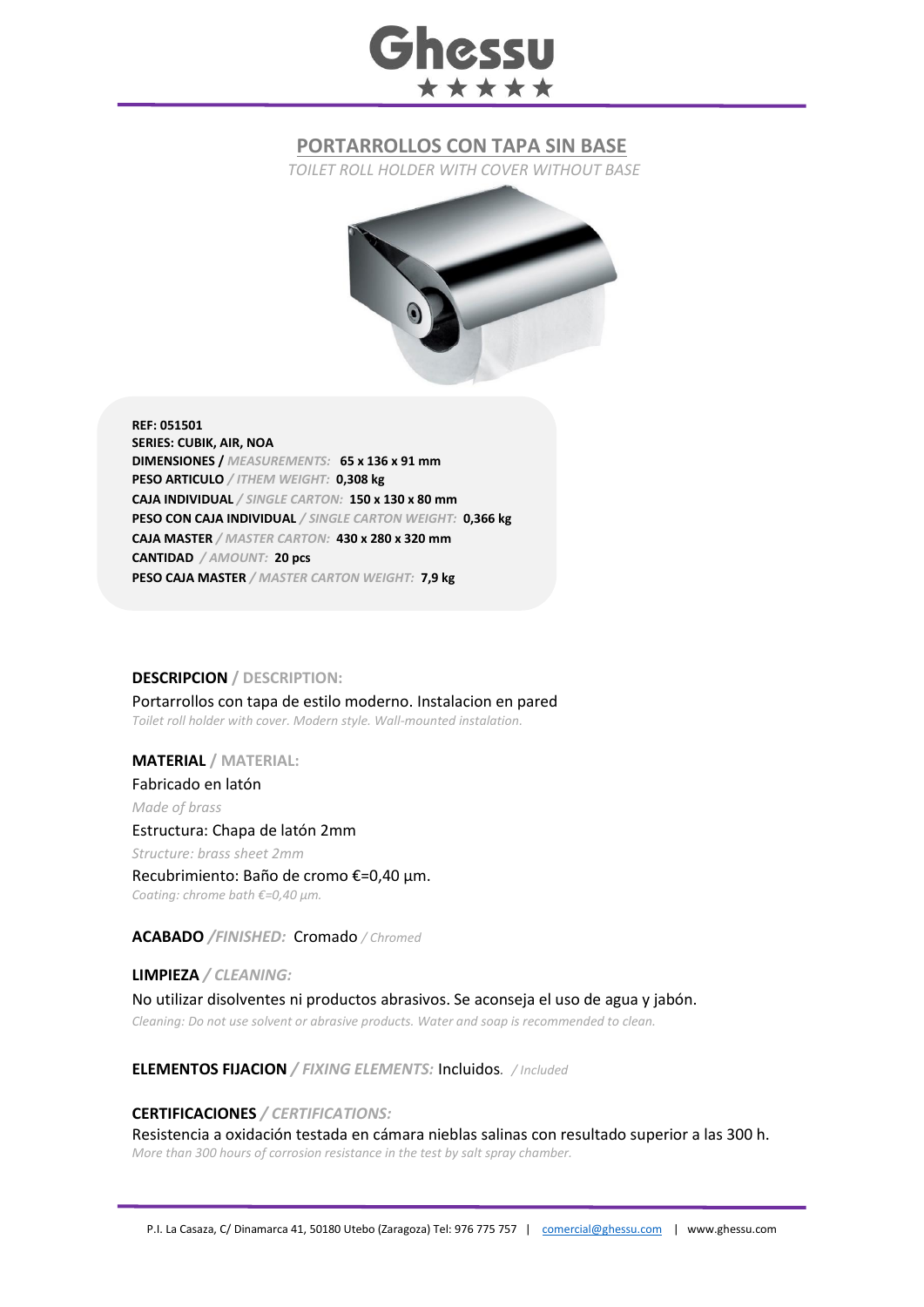# **Ghessu** \*\*\*\*\*

# **PORTARROLLOS CON TAPA SIN BASE**

*TOILET ROLL HOLDER WITH COVER WITHOUT BASE*



**REF: 051501 SERIES: CUBIK, AIR, NOA DIMENSIONES /** *MEASUREMENTS:* **65 x 136 x 91 mm PESO ARTICULO** */ ITHEM WEIGHT:* **0,308 kg CAJA INDIVIDUAL** */ SINGLE CARTON:* **150 x 130 x 80 mm PESO CON CAJA INDIVIDUAL** */ SINGLE CARTON WEIGHT:* **0,366 kg CAJA MASTER** */ MASTER CARTON:* **430 x 280 x 320 mm CANTIDAD** */ AMOUNT:* **20 pcs PESO CAJA MASTER** */ MASTER CARTON WEIGHT:* **7,9 kg**

### **DESCRIPCION / DESCRIPTION:**

Portarrollos con tapa de estilo moderno. Instalacion en pared *Toilet roll holder with cover. Modern style. Wall-mounted instalation.*

## **MATERIAL / MATERIAL:**

Fabricado en latón *Made of brass*

#### Estructura: Chapa de latón 2mm

*Structure: brass sheet 2mm* Recubrimiento: Baño de cromo €=0,40 μm. *Coating: chrome bath €=0,40 μm.*

**ACABADO** */FINISHED:*Cromado */ Chromed*

**LIMPIEZA** */ CLEANING:* No utilizar disolventes ni productos abrasivos. Se aconseja el uso de agua y jabón. *Cleaning: Do not use solvent or abrasive products. Water and soap is recommended to clean.*

**ELEMENTOS FIJACION** */ FIXING ELEMENTS:* Incluidos*. / Included*

### **CERTIFICACIONES** */ CERTIFICATIONS:*

Resistencia a oxidación testada en cámara nieblas salinas con resultado superior a las 300 h. *More than 300 hours of corrosion resistance in the test by salt spray chamber.*